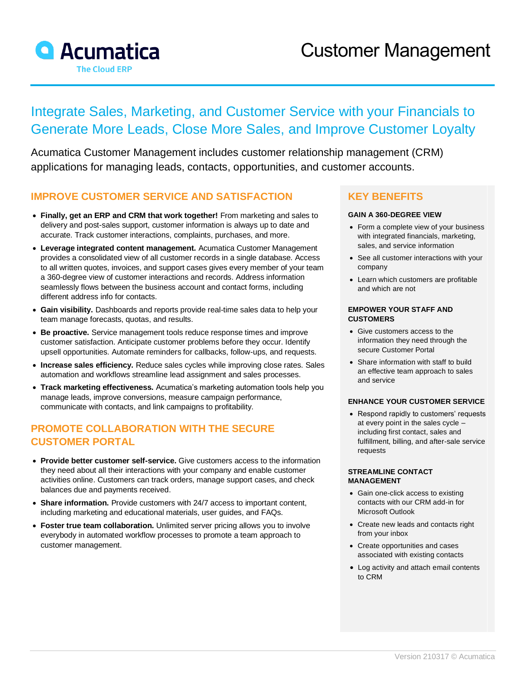

# Integrate Sales, Marketing, and Customer Service with your Financials to Generate More Leads, Close More Sales, and Improve Customer Loyalty

Acumatica Customer Management includes customer relationship management (CRM) applications for managing leads, contacts, opportunities, and customer accounts.

### **IMPROVE CUSTOMER SERVICE AND SATISFACTION**

- **Finally, get an ERP and CRM that work together!** From marketing and sales to delivery and post-sales support, customer information is always up to date and accurate. Track customer interactions, complaints, purchases, and more.
- **Leverage integrated content management.** Acumatica Customer Management provides a consolidated view of all customer records in a single database. Access to all written quotes, invoices, and support cases gives every member of your team a 360-degree view of customer interactions and records. Address information seamlessly flows between the business account and contact forms, including different address info for contacts.
- **Gain visibility.** Dashboards and reports provide real-time sales data to help your team manage forecasts, quotas, and results.
- **Be proactive.** Service management tools reduce response times and improve customer satisfaction. Anticipate customer problems before they occur. Identify upsell opportunities. Automate reminders for callbacks, follow-ups, and requests.
- **Increase sales efficiency.** Reduce sales cycles while improving close rates. Sales automation and workflows streamline lead assignment and sales processes.
- **Track marketing effectiveness.** Acumatica's marketing automation tools help you manage leads, improve conversions, measure campaign performance, communicate with contacts, and link campaigns to profitability.

### **PROMOTE COLLABORATION WITH THE SECURE CUSTOMER PORTAL**

- **Provide better customer self-service.** Give customers access to the information they need about all their interactions with your company and enable customer activities online. Customers can track orders, manage support cases, and check balances due and payments received.
- **Share information.** Provide customers with 24/7 access to important content, including marketing and educational materials, user guides, and FAQs.
- **Foster true team collaboration.** Unlimited server pricing allows you to involve everybody in automated workflow processes to promote a team approach to customer management.

### **KEY BENEFITS**

#### **GAIN A 360-DEGREE VIEW**

- Form a complete view of your business with integrated financials, marketing, sales, and service information
- See all customer interactions with your company
- Learn which customers are profitable and which are not

#### **EMPOWER YOUR STAFF AND CUSTOMERS**

- Give customers access to the information they need through the secure Customer Portal
- Share information with staff to build an effective team approach to sales and service

#### **ENHANCE YOUR CUSTOMER SERVICE**

• Respond rapidly to customers' requests at every point in the sales cycle – including first contact, sales and fulfillment, billing, and after-sale service requests

#### **STREAMLINE CONTACT MANAGEMENT**

- Gain one-click access to existing contacts with our CRM add-in for Microsoft Outlook
- Create new leads and contacts right from your inbox
- Create opportunities and cases associated with existing contacts
- Log activity and attach email contents to CRM